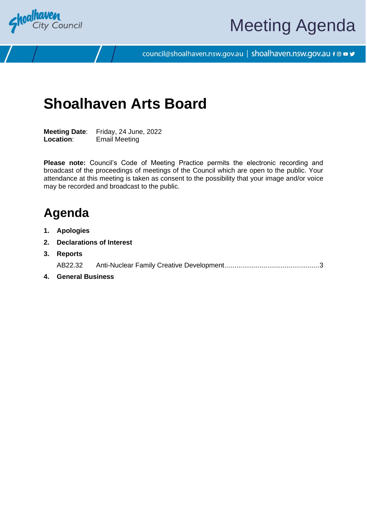

# Meeting Agenda

council@shoalhaven.nsw.gov.au | shoalhaven.nsw.gov.au f @ ■ y

## **Shoalhaven Arts Board**

**Meeting Date**: Friday, 24 June, 2022 **Location**: Email Meeting

**Please note:** Council's Code of Meeting Practice permits the electronic recording and broadcast of the proceedings of meetings of the Council which are open to the public. Your attendance at this meeting is taken as consent to the possibility that your image and/or voice may be recorded and broadcast to the public.

### **Agenda**

- **1. Apologies**
- **2. Declarations of Interest**
- **3. Reports** AB22.32 Anti-Nuclear Family Creative Development................................................[.3](#page-2-0)
- **4. General Business**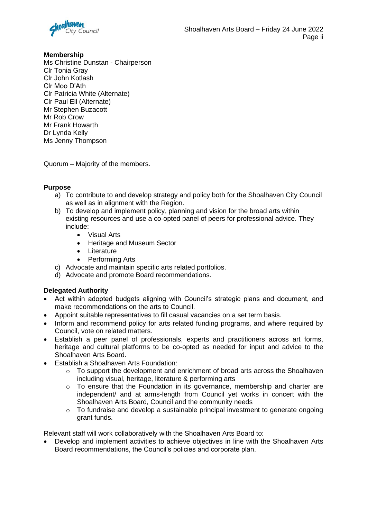

#### **Membership**

Ms Christine Dunstan - Chairperson Clr Tonia Gray Clr John Kotlash Clr Moo D'Ath Clr Patricia White (Alternate) Clr Paul Ell (Alternate) Mr Stephen Buzacott Mr Rob Crow Mr Frank Howarth Dr Lynda Kelly Ms Jenny Thompson

Quorum – Majority of the members.

#### **Purpose**

- a) To contribute to and develop strategy and policy both for the Shoalhaven City Council as well as in alignment with the Region.
- b) To develop and implement policy, planning and vision for the broad arts within existing resources and use a co-opted panel of peers for professional advice. They include:
	- Visual Arts
	- Heritage and Museum Sector
	- **Literature**
	- Performing Arts
- c) Advocate and maintain specific arts related portfolios.
- d) Advocate and promote Board recommendations.

#### **Delegated Authority**

- Act within adopted budgets aligning with Council's strategic plans and document, and make recommendations on the arts to Council.
- Appoint suitable representatives to fill casual vacancies on a set term basis.
- Inform and recommend policy for arts related funding programs, and where required by Council, vote on related matters.
- Establish a peer panel of professionals, experts and practitioners across art forms, heritage and cultural platforms to be co-opted as needed for input and advice to the Shoalhaven Arts Board.
- Establish a Shoalhaven Arts Foundation:
	- o To support the development and enrichment of broad arts across the Shoalhaven including visual, heritage, literature & performing arts
	- o To ensure that the Foundation in its governance, membership and charter are independent/ and at arms-length from Council yet works in concert with the Shoalhaven Arts Board, Council and the community needs
	- $\circ$  To fundraise and develop a sustainable principal investment to generate ongoing grant funds.

Relevant staff will work collaboratively with the Shoalhaven Arts Board to:

• Develop and implement activities to achieve objectives in line with the Shoalhaven Arts Board recommendations, the Council's policies and corporate plan.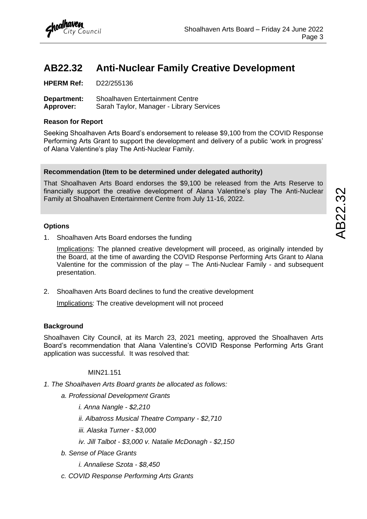### <span id="page-2-0"></span>**AB22.32 Anti-Nuclear Family Creative Development**

**HPERM Ref:** D22/255136

**Department:** Shoalhaven Entertainment Centre **Approver:** Sarah Taylor, Manager - Library Services

#### **Reason for Report**

Seeking Shoalhaven Arts Board's endorsement to release \$9,100 from the COVID Response Performing Arts Grant to support the development and delivery of a public 'work in progress' of Alana Valentine's play The Anti-Nuclear Family.

#### **Recommendation (Item to be determined under delegated authority)**

That Shoalhaven Arts Board endorses the \$9,100 be released from the Arts Reserve to financially support the creative development of Alana Valentine's play The Anti-Nuclear Family at Shoalhaven Entertainment Centre from July 11-16, 2022.

#### **Options**

1. Shoalhaven Arts Board endorses the funding

Implications: The planned creative development will proceed, as originally intended by the Board, at the time of awarding the COVID Response Performing Arts Grant to Alana Valentine for the commission of the play – The Anti-Nuclear Family - and subsequent presentation.

2. Shoalhaven Arts Board declines to fund the creative development

Implications: The creative development will not proceed

#### **Background**

Shoalhaven City Council, at its March 23, 2021 meeting, approved the Shoalhaven Arts Board's recommendation that Alana Valentine's COVID Response Performing Arts Grant application was successful. It was resolved that:

MIN<sub>21</sub> 151

- *1. The Shoalhaven Arts Board grants be allocated as follows:* 
	- *a. Professional Development Grants* 
		- *i. Anna Nangle - \$2,210*
		- *ii. Albatross Musical Theatre Company - \$2,710*
		- *iii. Alaska Turner - \$3,000*
		- *iv. Jill Talbot - \$3,000 v. Natalie McDonagh - \$2,150*
	- *b. Sense of Place Grants* 
		- *i. Annaliese Szota - \$8,450*
	- *c. COVID Response Performing Arts Grants*